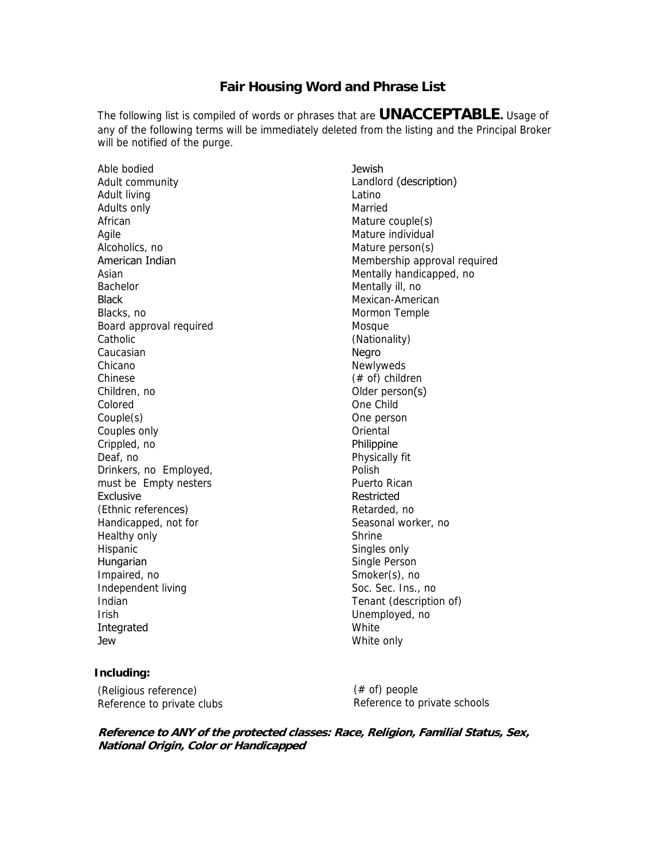## **Fair Housing Word and Phrase List**

The following list is compiled of words or phrases that are **UNACCEPTABLE.** Usage of any of the following terms will be immediately deleted from the listing and the Principal Broker will be notified of the purge.

Able bodied Adult community Adult living Adults only African Agile Alcoholics, no American Indian Asian Bachelor **Black** Blacks, no Board approval required **Catholic** Caucasian Chicano Chinese Children, no Colored Couple(s) Couples only Crippled, no Deaf, no Drinkers, no Employed, must be Empty nesters Exclusive (Ethnic references) Handicapped, not for Healthy only Hispanic Hungarian Impaired, no Independent living Indian Irish Integrated Jew

## **Jewish** Landlord (description) Latino Married Mature couple(s) Mature individual Mature person(s) Membership approval required Mentally handicapped, no Mentally ill, no Mexican-American Mormon Temple Mosque (Nationality) Negro Newlyweds (# of) children Older person(s) One Child One person **Oriental Philippine** Physically fit Polish Puerto Rican Restricted Retarded, no Seasonal worker, no Shrine Singles only Single Person Smoker(s), no Soc. Sec. Ins., no Tenant (description of) Unemployed, no White White only

## **Including:**

(Religious reference) Reference to private clubs

(# of) people Reference to private schools

**Reference to ANY of the protected classes: Race, Religion, Familial Status, Sex, National Origin, Color or Handicapped**